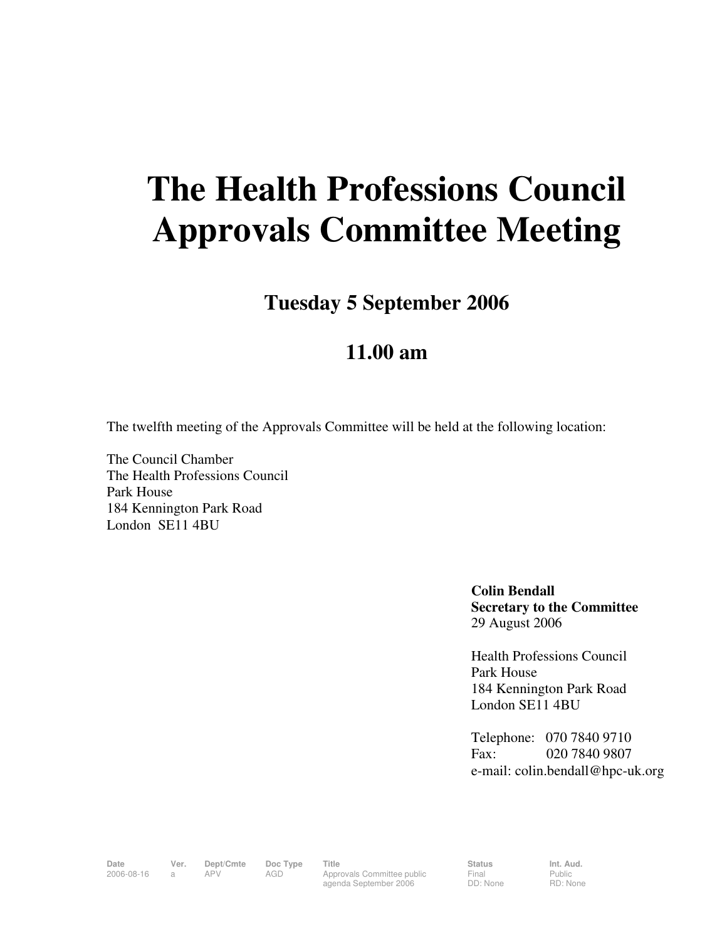## **The Health Professions Council Approvals Committee Meeting**

**Tuesday 5 September 2006** 

## **11.00 am**

The twelfth meeting of the Approvals Committee will be held at the following location:

The Council Chamber The Health Professions Council Park House 184 Kennington Park Road London SE11 4BU

> **Colin Bendall Secretary to the Committee**  29 August 2006

Health Professions Council Park House 184 Kennington Park Road London SE11 4BU

Telephone: 070 7840 9710 Fax: 020 7840 9807 e-mail: colin.bendall@hpc-uk.org

Date Ver. Dept/Cmte Doc<sup>Type</sup> Title Status Status Int. Aud. 2006-08-16 a APV AGD Approvals Committee public agenda September 2006

Final DD: None Public RD: None